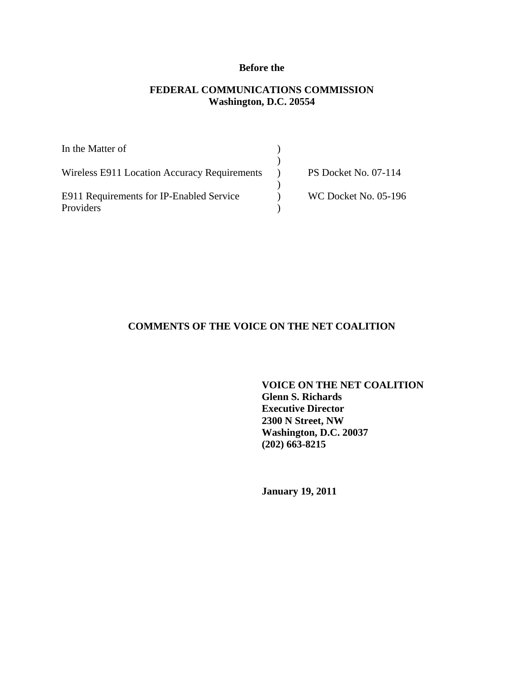# **Before the**

## **FEDERAL COMMUNICATIONS COMMISSION Washington, D.C. 20554**

| In the Matter of                             |                             |
|----------------------------------------------|-----------------------------|
|                                              |                             |
| Wireless E911 Location Accuracy Requirements | <b>PS Docket No. 07-114</b> |
|                                              |                             |
| E911 Requirements for IP-Enabled Service     | <b>WC Docket No. 05-196</b> |
| Providers                                    |                             |

# **COMMENTS OF THE VOICE ON THE NET COALITION**

**VOICE ON THE NET COALITION Glenn S. Richards Executive Director 2300 N Street, NW Washington, D.C. 20037 (202) 663-8215** 

**January 19, 2011**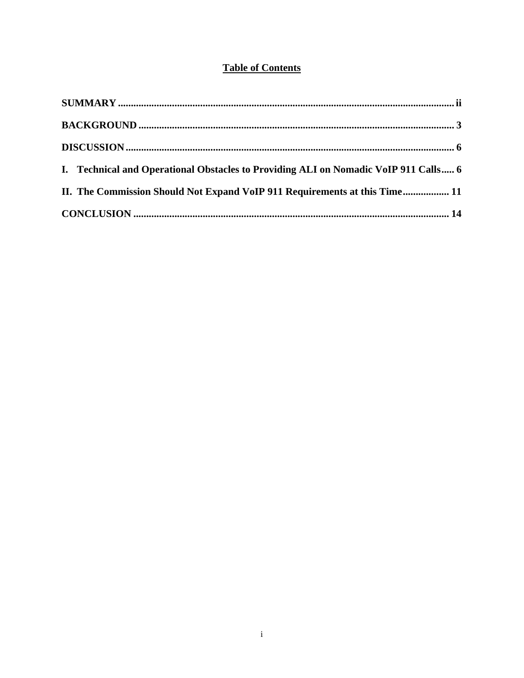# **Table of Contents**

| I. Technical and Operational Obstacles to Providing ALI on Nomadic VoIP 911 Calls 6 |
|-------------------------------------------------------------------------------------|
| II. The Commission Should Not Expand VoIP 911 Requirements at this Time 11          |
|                                                                                     |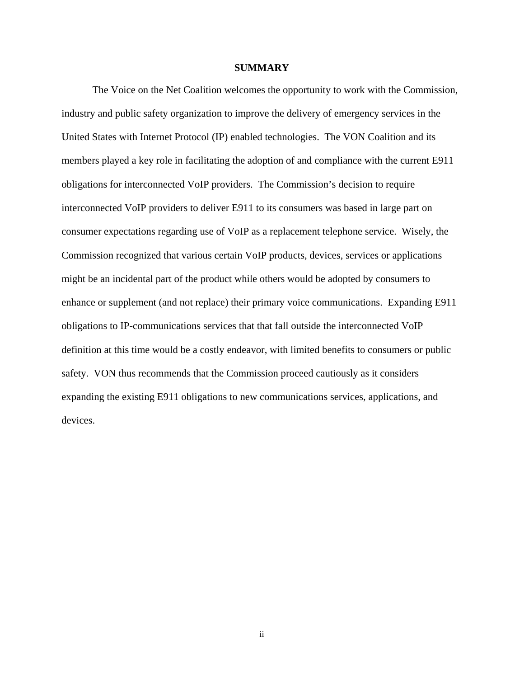#### **SUMMARY**

The Voice on the Net Coalition welcomes the opportunity to work with the Commission, industry and public safety organization to improve the delivery of emergency services in the United States with Internet Protocol (IP) enabled technologies. The VON Coalition and its members played a key role in facilitating the adoption of and compliance with the current E911 obligations for interconnected VoIP providers. The Commission's decision to require interconnected VoIP providers to deliver E911 to its consumers was based in large part on consumer expectations regarding use of VoIP as a replacement telephone service. Wisely, the Commission recognized that various certain VoIP products, devices, services or applications might be an incidental part of the product while others would be adopted by consumers to enhance or supplement (and not replace) their primary voice communications. Expanding E911 obligations to IP-communications services that that fall outside the interconnected VoIP definition at this time would be a costly endeavor, with limited benefits to consumers or public safety. VON thus recommends that the Commission proceed cautiously as it considers expanding the existing E911 obligations to new communications services, applications, and devices.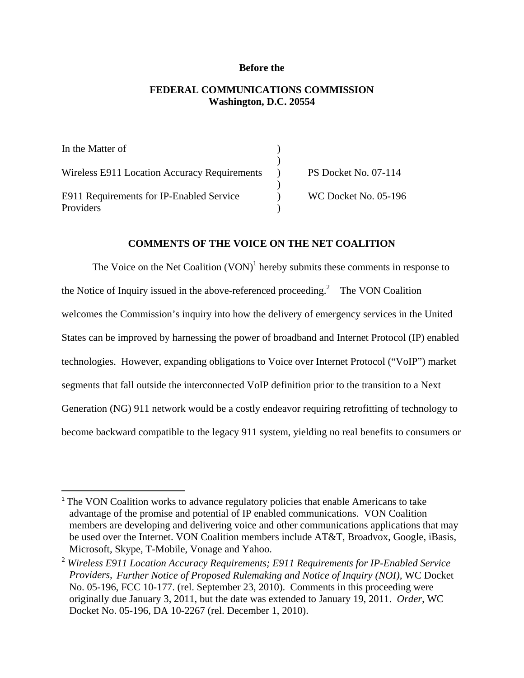#### **Before the**

# **FEDERAL COMMUNICATIONS COMMISSION Washington, D.C. 20554**

| In the Matter of                             |                             |
|----------------------------------------------|-----------------------------|
|                                              |                             |
| Wireless E911 Location Accuracy Requirements | <b>PS Docket No. 07-114</b> |
|                                              |                             |
| E911 Requirements for IP-Enabled Service     | WC Docket No. 05-196        |
| Providers                                    |                             |

#### **COMMENTS OF THE VOICE ON THE NET COALITION**

The Voice on the Net Coalition  $(VON)^1$  hereby submits these comments in response to the Notice of Inquiry issued in the above-referenced proceeding.<sup>2</sup> The VON Coalition welcomes the Commission's inquiry into how the delivery of emergency services in the United States can be improved by harnessing the power of broadband and Internet Protocol (IP) enabled technologies. However, expanding obligations to Voice over Internet Protocol ("VoIP") market segments that fall outside the interconnected VoIP definition prior to the transition to a Next Generation (NG) 911 network would be a costly endeavor requiring retrofitting of technology to become backward compatible to the legacy 911 system, yielding no real benefits to consumers or

<sup>&</sup>lt;sup>1</sup> The VON Coalition works to advance regulatory policies that enable Americans to take advantage of the promise and potential of IP enabled communications. VON Coalition members are developing and delivering voice and other communications applications that may be used over the Internet. VON Coalition members include AT&T, Broadvox, Google, iBasis, Microsoft, Skype, T-Mobile, Vonage and Yahoo.

<sup>2</sup> *Wireless E911 Location Accuracy Requirements; E911 Requirements for IP-Enabled Service Providers, Further Notice of Proposed Rulemaking and Notice of Inquiry (NOI),* WC Docket No. 05-196, FCC 10-177. (rel. September 23, 2010). Comments in this proceeding were originally due January 3, 2011, but the date was extended to January 19, 2011. *Order,* WC Docket No. 05-196, DA 10-2267 (rel. December 1, 2010).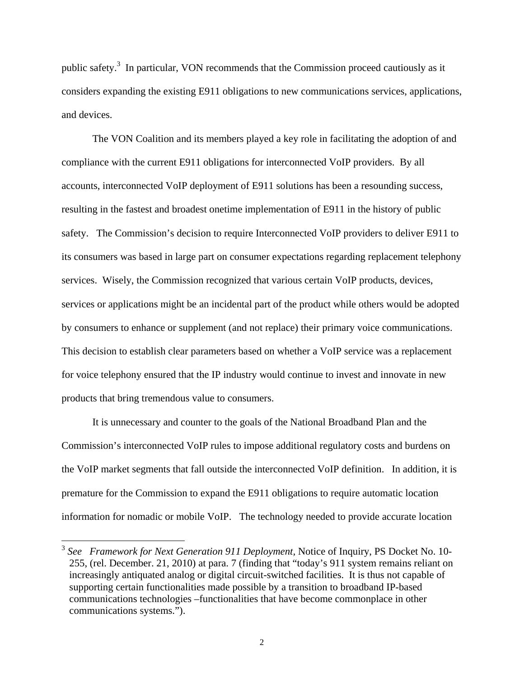public safety.<sup>3</sup> In particular, VON recommends that the Commission proceed cautiously as it considers expanding the existing E911 obligations to new communications services, applications, and devices.

 The VON Coalition and its members played a key role in facilitating the adoption of and compliance with the current E911 obligations for interconnected VoIP providers. By all accounts, interconnected VoIP deployment of E911 solutions has been a resounding success, resulting in the fastest and broadest onetime implementation of E911 in the history of public safety. The Commission's decision to require Interconnected VoIP providers to deliver E911 to its consumers was based in large part on consumer expectations regarding replacement telephony services. Wisely, the Commission recognized that various certain VoIP products, devices, services or applications might be an incidental part of the product while others would be adopted by consumers to enhance or supplement (and not replace) their primary voice communications. This decision to establish clear parameters based on whether a VoIP service was a replacement for voice telephony ensured that the IP industry would continue to invest and innovate in new products that bring tremendous value to consumers.

 It is unnecessary and counter to the goals of the National Broadband Plan and the Commission's interconnected VoIP rules to impose additional regulatory costs and burdens on the VoIP market segments that fall outside the interconnected VoIP definition. In addition, it is premature for the Commission to expand the E911 obligations to require automatic location information for nomadic or mobile VoIP. The technology needed to provide accurate location

<sup>3</sup> *See Framework for Next Generation 911 Deployment,* Notice of Inquiry, PS Docket No. 10- 255, (rel. December. 21, 2010) at para. 7 (finding that "today's 911 system remains reliant on increasingly antiquated analog or digital circuit-switched facilities. It is thus not capable of supporting certain functionalities made possible by a transition to broadband IP-based communications technologies –functionalities that have become commonplace in other communications systems.").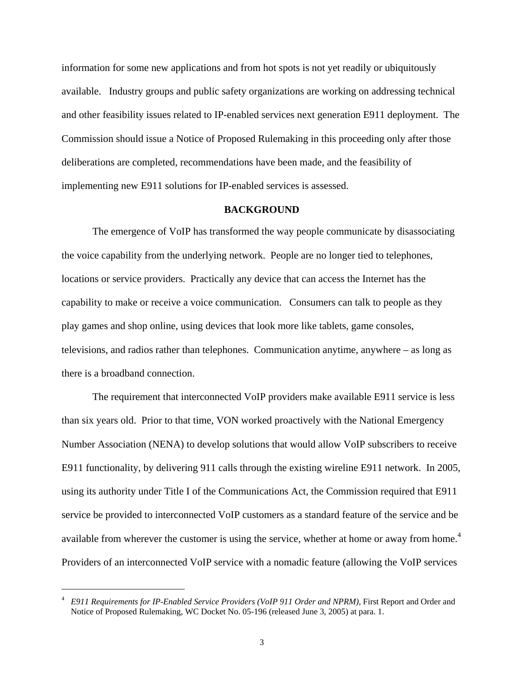information for some new applications and from hot spots is not yet readily or ubiquitously available. Industry groups and public safety organizations are working on addressing technical and other feasibility issues related to IP-enabled services next generation E911 deployment. The Commission should issue a Notice of Proposed Rulemaking in this proceeding only after those deliberations are completed, recommendations have been made, and the feasibility of implementing new E911 solutions for IP-enabled services is assessed.

## **BACKGROUND**

 The emergence of VoIP has transformed the way people communicate by disassociating the voice capability from the underlying network. People are no longer tied to telephones, locations or service providers. Practically any device that can access the Internet has the capability to make or receive a voice communication. Consumers can talk to people as they play games and shop online, using devices that look more like tablets, game consoles, televisions, and radios rather than telephones. Communication anytime, anywhere – as long as there is a broadband connection.

 The requirement that interconnected VoIP providers make available E911 service is less than six years old. Prior to that time, VON worked proactively with the National Emergency Number Association (NENA) to develop solutions that would allow VoIP subscribers to receive E911 functionality, by delivering 911 calls through the existing wireline E911 network. In 2005, using its authority under Title I of the Communications Act, the Commission required that E911 service be provided to interconnected VoIP customers as a standard feature of the service and be available from wherever the customer is using the service, whether at home or away from home.<sup>4</sup> Providers of an interconnected VoIP service with a nomadic feature (allowing the VoIP services

1

<sup>4</sup> *E911 Requirements for IP-Enabled Service Providers (VoIP 911 Order and NPRM),* First Report and Order and Notice of Proposed Rulemaking, WC Docket No. 05-196 (released June 3, 2005) at para. 1.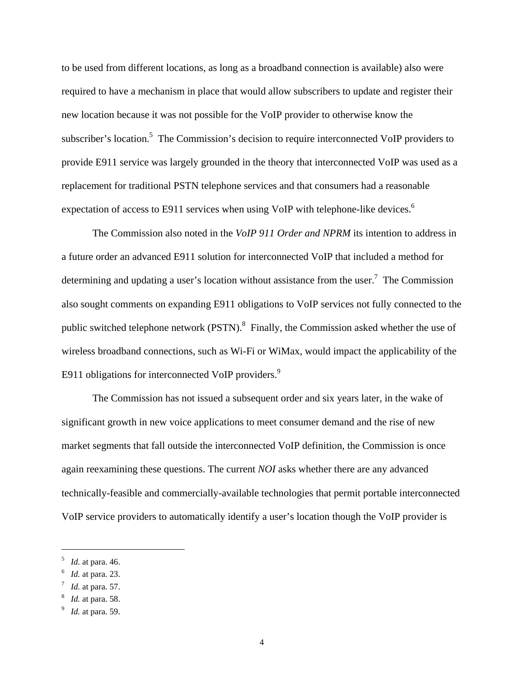to be used from different locations, as long as a broadband connection is available) also were required to have a mechanism in place that would allow subscribers to update and register their new location because it was not possible for the VoIP provider to otherwise know the subscriber's location.<sup>5</sup> The Commission's decision to require interconnected VoIP providers to provide E911 service was largely grounded in the theory that interconnected VoIP was used as a replacement for traditional PSTN telephone services and that consumers had a reasonable expectation of access to E911 services when using VoIP with telephone-like devices.<sup>6</sup>

 The Commission also noted in the *VoIP 911 Order and NPRM* its intention to address in a future order an advanced E911 solution for interconnected VoIP that included a method for determining and updating a user's location without assistance from the user.<sup>7</sup> The Commission also sought comments on expanding E911 obligations to VoIP services not fully connected to the public switched telephone network (PSTN). $^{8}$  Finally, the Commission asked whether the use of wireless broadband connections, such as Wi-Fi or WiMax, would impact the applicability of the E911 obligations for interconnected VoIP providers.<sup>9</sup>

 The Commission has not issued a subsequent order and six years later, in the wake of significant growth in new voice applications to meet consumer demand and the rise of new market segments that fall outside the interconnected VoIP definition, the Commission is once again reexamining these questions. The current *NOI* asks whether there are any advanced technically-feasible and commercially-available technologies that permit portable interconnected VoIP service providers to automatically identify a user's location though the VoIP provider is

 $^{5}$  *Id.* at para. 46.

*Id.* at para. 23.

<sup>7</sup> *Id.* at para. 57.

<sup>8</sup> *Id.* at para. 58.

*Id.* at para. 59.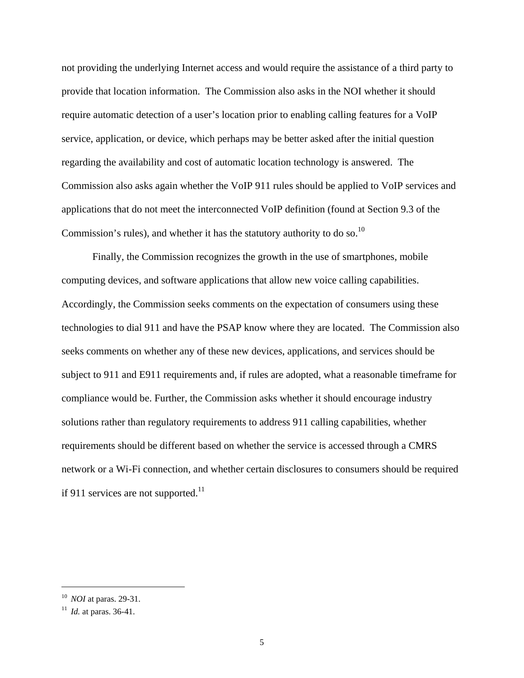not providing the underlying Internet access and would require the assistance of a third party to provide that location information. The Commission also asks in the NOI whether it should require automatic detection of a user's location prior to enabling calling features for a VoIP service, application, or device, which perhaps may be better asked after the initial question regarding the availability and cost of automatic location technology is answered. The Commission also asks again whether the VoIP 911 rules should be applied to VoIP services and applications that do not meet the interconnected VoIP definition (found at Section 9.3 of the Commission's rules), and whether it has the statutory authority to do so.<sup>10</sup>

 Finally, the Commission recognizes the growth in the use of smartphones, mobile computing devices, and software applications that allow new voice calling capabilities. Accordingly, the Commission seeks comments on the expectation of consumers using these technologies to dial 911 and have the PSAP know where they are located. The Commission also seeks comments on whether any of these new devices, applications, and services should be subject to 911 and E911 requirements and, if rules are adopted, what a reasonable timeframe for compliance would be. Further, the Commission asks whether it should encourage industry solutions rather than regulatory requirements to address 911 calling capabilities, whether requirements should be different based on whether the service is accessed through a CMRS network or a Wi-Fi connection, and whether certain disclosures to consumers should be required if 911 services are not supported.<sup>11</sup>

<sup>10</sup>*NOI* at paras. 29-31. 11 *Id.* at paras. 36-41.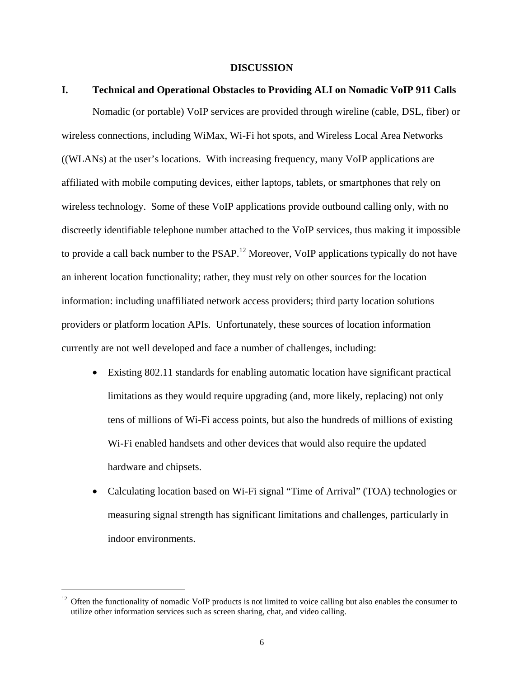#### **DISCUSSION**

#### **I. Technical and Operational Obstacles to Providing ALI on Nomadic VoIP 911 Calls**

 Nomadic (or portable) VoIP services are provided through wireline (cable, DSL, fiber) or wireless connections, including WiMax, Wi-Fi hot spots, and Wireless Local Area Networks ((WLANs) at the user's locations. With increasing frequency, many VoIP applications are affiliated with mobile computing devices, either laptops, tablets, or smartphones that rely on wireless technology. Some of these VoIP applications provide outbound calling only, with no discreetly identifiable telephone number attached to the VoIP services, thus making it impossible to provide a call back number to the PSAP.<sup>12</sup> Moreover, VoIP applications typically do not have an inherent location functionality; rather, they must rely on other sources for the location information: including unaffiliated network access providers; third party location solutions providers or platform location APIs. Unfortunately, these sources of location information currently are not well developed and face a number of challenges, including:

- Existing 802.11 standards for enabling automatic location have significant practical limitations as they would require upgrading (and, more likely, replacing) not only tens of millions of Wi-Fi access points, but also the hundreds of millions of existing Wi-Fi enabled handsets and other devices that would also require the updated hardware and chipsets.
- Calculating location based on Wi-Fi signal "Time of Arrival" (TOA) technologies or measuring signal strength has significant limitations and challenges, particularly in indoor environments.

 $12$  Often the functionality of nomadic VoIP products is not limited to voice calling but also enables the consumer to utilize other information services such as screen sharing, chat, and video calling.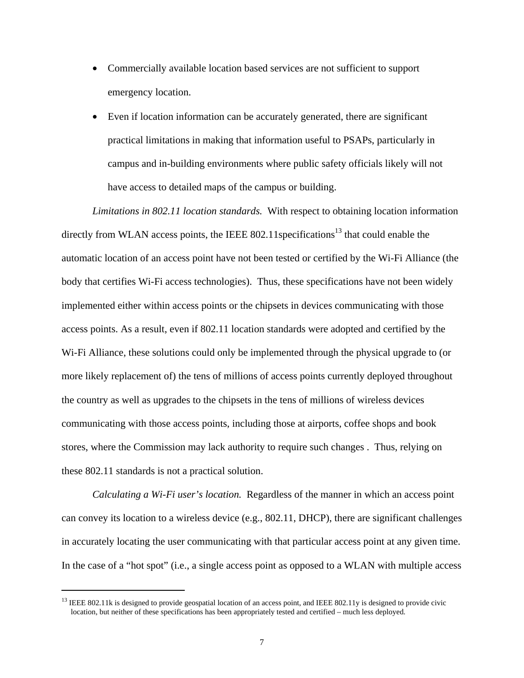- Commercially available location based services are not sufficient to support emergency location.
- Even if location information can be accurately generated, there are significant practical limitations in making that information useful to PSAPs, particularly in campus and in-building environments where public safety officials likely will not have access to detailed maps of the campus or building.

*Limitations in 802.11 location standards.* With respect to obtaining location information directly from WLAN access points, the IEEE 802.11 specifications<sup>13</sup> that could enable the automatic location of an access point have not been tested or certified by the Wi-Fi Alliance (the body that certifies Wi-Fi access technologies). Thus, these specifications have not been widely implemented either within access points or the chipsets in devices communicating with those access points. As a result, even if 802.11 location standards were adopted and certified by the Wi-Fi Alliance, these solutions could only be implemented through the physical upgrade to (or more likely replacement of) the tens of millions of access points currently deployed throughout the country as well as upgrades to the chipsets in the tens of millions of wireless devices communicating with those access points, including those at airports, coffee shops and book stores, where the Commission may lack authority to require such changes . Thus, relying on these 802.11 standards is not a practical solution.

*Calculating a Wi-Fi user's location.* Regardless of the manner in which an access point can convey its location to a wireless device (e.g., 802.11, DHCP), there are significant challenges in accurately locating the user communicating with that particular access point at any given time. In the case of a "hot spot" (i.e., a single access point as opposed to a WLAN with multiple access

 $13$  IEEE 802.11k is designed to provide geospatial location of an access point, and IEEE 802.11y is designed to provide civic location, but neither of these specifications has been appropriately tested and certified – much less deployed.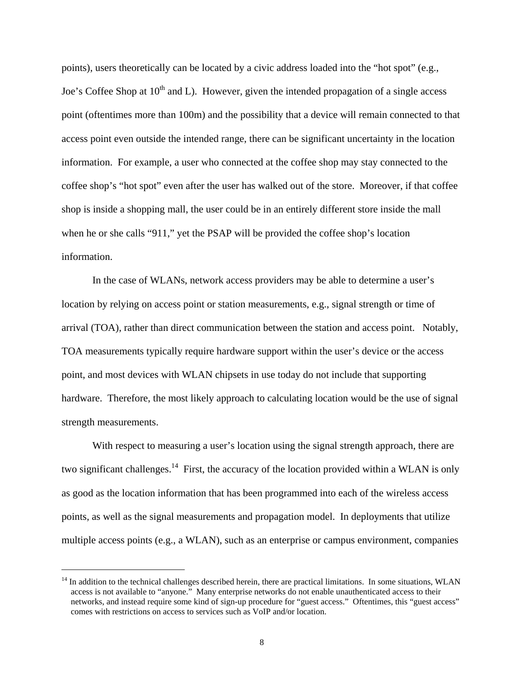points), users theoretically can be located by a civic address loaded into the "hot spot" (e.g., Joe's Coffee Shop at  $10<sup>th</sup>$  and L). However, given the intended propagation of a single access point (oftentimes more than 100m) and the possibility that a device will remain connected to that access point even outside the intended range, there can be significant uncertainty in the location information. For example, a user who connected at the coffee shop may stay connected to the coffee shop's "hot spot" even after the user has walked out of the store. Moreover, if that coffee shop is inside a shopping mall, the user could be in an entirely different store inside the mall when he or she calls "911," yet the PSAP will be provided the coffee shop's location information.

 In the case of WLANs, network access providers may be able to determine a user's location by relying on access point or station measurements, e.g., signal strength or time of arrival (TOA), rather than direct communication between the station and access point. Notably, TOA measurements typically require hardware support within the user's device or the access point, and most devices with WLAN chipsets in use today do not include that supporting hardware. Therefore, the most likely approach to calculating location would be the use of signal strength measurements.

With respect to measuring a user's location using the signal strength approach, there are two significant challenges.<sup>14</sup> First, the accuracy of the location provided within a WLAN is only as good as the location information that has been programmed into each of the wireless access points, as well as the signal measurements and propagation model. In deployments that utilize multiple access points (e.g., a WLAN), such as an enterprise or campus environment, companies

 $<sup>14</sup>$  In addition to the technical challenges described herein, there are practical limitations. In some situations, WLAN</sup> access is not available to "anyone." Many enterprise networks do not enable unauthenticated access to their networks, and instead require some kind of sign-up procedure for "guest access." Oftentimes, this "guest access" comes with restrictions on access to services such as VoIP and/or location.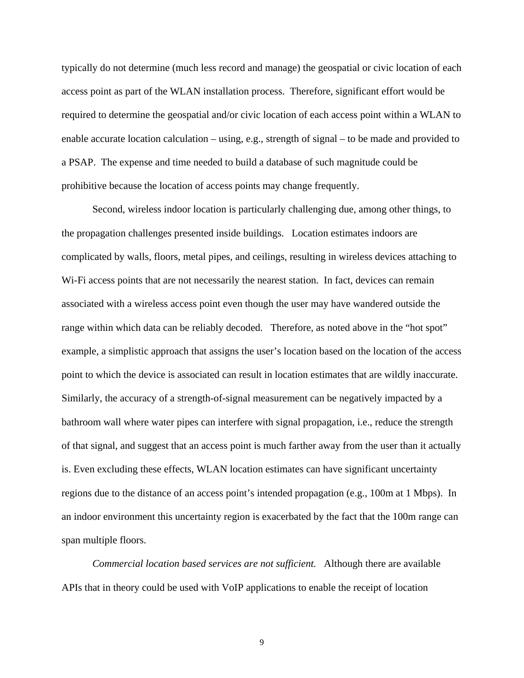typically do not determine (much less record and manage) the geospatial or civic location of each access point as part of the WLAN installation process. Therefore, significant effort would be required to determine the geospatial and/or civic location of each access point within a WLAN to enable accurate location calculation – using, e.g., strength of signal – to be made and provided to a PSAP. The expense and time needed to build a database of such magnitude could be prohibitive because the location of access points may change frequently.

 Second, wireless indoor location is particularly challenging due, among other things, to the propagation challenges presented inside buildings. Location estimates indoors are complicated by walls, floors, metal pipes, and ceilings, resulting in wireless devices attaching to Wi-Fi access points that are not necessarily the nearest station. In fact, devices can remain associated with a wireless access point even though the user may have wandered outside the range within which data can be reliably decoded. Therefore, as noted above in the "hot spot" example, a simplistic approach that assigns the user's location based on the location of the access point to which the device is associated can result in location estimates that are wildly inaccurate. Similarly, the accuracy of a strength-of-signal measurement can be negatively impacted by a bathroom wall where water pipes can interfere with signal propagation, i.e., reduce the strength of that signal, and suggest that an access point is much farther away from the user than it actually is. Even excluding these effects, WLAN location estimates can have significant uncertainty regions due to the distance of an access point's intended propagation (e.g., 100m at 1 Mbps). In an indoor environment this uncertainty region is exacerbated by the fact that the 100m range can span multiple floors.

*Commercial location based services are not sufficient.* Although there are available APIs that in theory could be used with VoIP applications to enable the receipt of location

9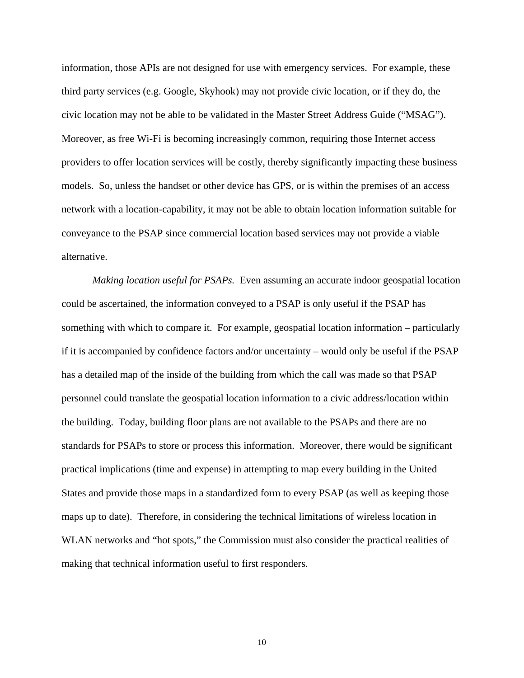information, those APIs are not designed for use with emergency services. For example, these third party services (e.g. Google, Skyhook) may not provide civic location, or if they do, the civic location may not be able to be validated in the Master Street Address Guide ("MSAG"). Moreover, as free Wi-Fi is becoming increasingly common, requiring those Internet access providers to offer location services will be costly, thereby significantly impacting these business models. So, unless the handset or other device has GPS, or is within the premises of an access network with a location-capability, it may not be able to obtain location information suitable for conveyance to the PSAP since commercial location based services may not provide a viable alternative.

*Making location useful for PSAPs.* Even assuming an accurate indoor geospatial location could be ascertained, the information conveyed to a PSAP is only useful if the PSAP has something with which to compare it. For example, geospatial location information – particularly if it is accompanied by confidence factors and/or uncertainty – would only be useful if the PSAP has a detailed map of the inside of the building from which the call was made so that PSAP personnel could translate the geospatial location information to a civic address/location within the building. Today, building floor plans are not available to the PSAPs and there are no standards for PSAPs to store or process this information. Moreover, there would be significant practical implications (time and expense) in attempting to map every building in the United States and provide those maps in a standardized form to every PSAP (as well as keeping those maps up to date). Therefore, in considering the technical limitations of wireless location in WLAN networks and "hot spots," the Commission must also consider the practical realities of making that technical information useful to first responders.

10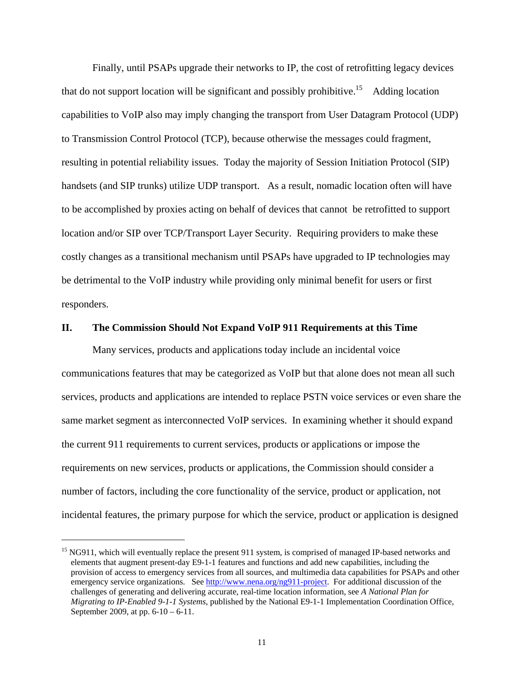Finally, until PSAPs upgrade their networks to IP, the cost of retrofitting legacy devices that do not support location will be significant and possibly prohibitive.<sup>15</sup> Adding location capabilities to VoIP also may imply changing the transport from User Datagram Protocol (UDP) to Transmission Control Protocol (TCP), because otherwise the messages could fragment, resulting in potential reliability issues. Today the majority of Session Initiation Protocol (SIP) handsets (and SIP trunks) utilize UDP transport. As a result, nomadic location often will have to be accomplished by proxies acting on behalf of devices that cannot be retrofitted to support location and/or SIP over TCP/Transport Layer Security. Requiring providers to make these costly changes as a transitional mechanism until PSAPs have upgraded to IP technologies may be detrimental to the VoIP industry while providing only minimal benefit for users or first responders.

#### **II. The Commission Should Not Expand VoIP 911 Requirements at this Time**

 Many services, products and applications today include an incidental voice communications features that may be categorized as VoIP but that alone does not mean all such services, products and applications are intended to replace PSTN voice services or even share the same market segment as interconnected VoIP services. In examining whether it should expand the current 911 requirements to current services, products or applications or impose the requirements on new services, products or applications, the Commission should consider a number of factors, including the core functionality of the service, product or application, not incidental features, the primary purpose for which the service, product or application is designed

<sup>&</sup>lt;sup>15</sup> NG911, which will eventually replace the present 911 system, is comprised of managed IP-based networks and elements that augment present-day E9-1-1 features and functions and add new capabilities, including the provision of access to emergency services from all sources, and multimedia data capabilities for PSAPs and other emergency service organizations. See http://www.nena.org/ng911-project. For additional discussion of the challenges of generating and delivering accurate, real-time location information, see *A National Plan for Migrating to IP-Enabled 9-1-1 Systems*, published by the National E9-1-1 Implementation Coordination Office, September 2009, at pp. 6-10 – 6-11.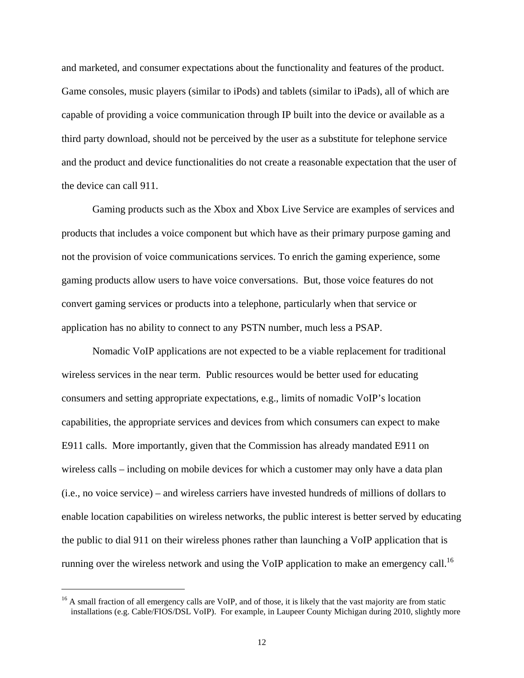and marketed, and consumer expectations about the functionality and features of the product. Game consoles, music players (similar to iPods) and tablets (similar to iPads), all of which are capable of providing a voice communication through IP built into the device or available as a third party download, should not be perceived by the user as a substitute for telephone service and the product and device functionalities do not create a reasonable expectation that the user of the device can call 911.

 Gaming products such as the Xbox and Xbox Live Service are examples of services and products that includes a voice component but which have as their primary purpose gaming and not the provision of voice communications services. To enrich the gaming experience, some gaming products allow users to have voice conversations. But, those voice features do not convert gaming services or products into a telephone, particularly when that service or application has no ability to connect to any PSTN number, much less a PSAP.

 Nomadic VoIP applications are not expected to be a viable replacement for traditional wireless services in the near term. Public resources would be better used for educating consumers and setting appropriate expectations, e.g., limits of nomadic VoIP's location capabilities, the appropriate services and devices from which consumers can expect to make E911 calls. More importantly, given that the Commission has already mandated E911 on wireless calls – including on mobile devices for which a customer may only have a data plan (i.e., no voice service) – and wireless carriers have invested hundreds of millions of dollars to enable location capabilities on wireless networks, the public interest is better served by educating the public to dial 911 on their wireless phones rather than launching a VoIP application that is running over the wireless network and using the VoIP application to make an emergency call.<sup>16</sup>

<sup>&</sup>lt;sup>16</sup> A small fraction of all emergency calls are VoIP, and of those, it is likely that the vast majority are from static installations (e.g. Cable/FIOS/DSL VoIP). For example, in Laupeer County Michigan during 2010, slightly more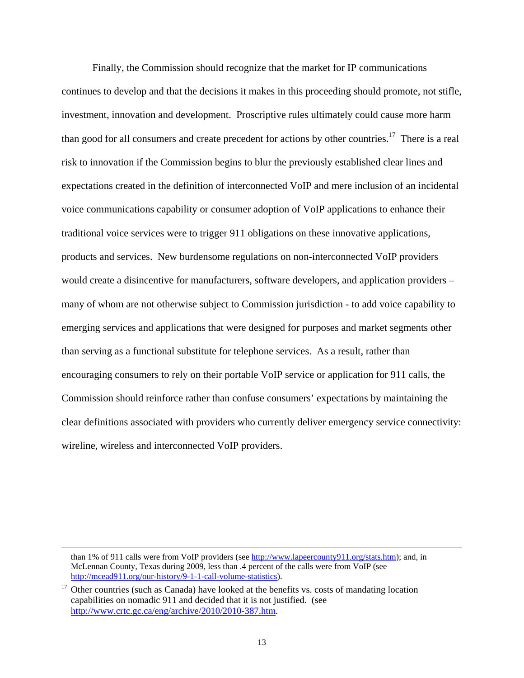Finally, the Commission should recognize that the market for IP communications continues to develop and that the decisions it makes in this proceeding should promote, not stifle, investment, innovation and development. Proscriptive rules ultimately could cause more harm than good for all consumers and create precedent for actions by other countries.17 There is a real risk to innovation if the Commission begins to blur the previously established clear lines and expectations created in the definition of interconnected VoIP and mere inclusion of an incidental voice communications capability or consumer adoption of VoIP applications to enhance their traditional voice services were to trigger 911 obligations on these innovative applications, products and services. New burdensome regulations on non-interconnected VoIP providers would create a disincentive for manufacturers, software developers, and application providers – many of whom are not otherwise subject to Commission jurisdiction - to add voice capability to emerging services and applications that were designed for purposes and market segments other than serving as a functional substitute for telephone services. As a result, rather than encouraging consumers to rely on their portable VoIP service or application for 911 calls, the Commission should reinforce rather than confuse consumers' expectations by maintaining the clear definitions associated with providers who currently deliver emergency service connectivity: wireline, wireless and interconnected VoIP providers.

than 1% of 911 calls were from VoIP providers (see http://www.lapeercounty911.org/stats.htm); and, in McLennan County, Texas during 2009, less than .4 percent of the calls were from VoIP (see http://mcead911.org/our-history/9-1-1-call-volume-statistics).

 $17$  Other countries (such as Canada) have looked at the benefits vs. costs of mandating location capabilities on nomadic 911 and decided that it is not justified. (see http://www.crtc.gc.ca/eng/archive/2010/2010-387.htm.